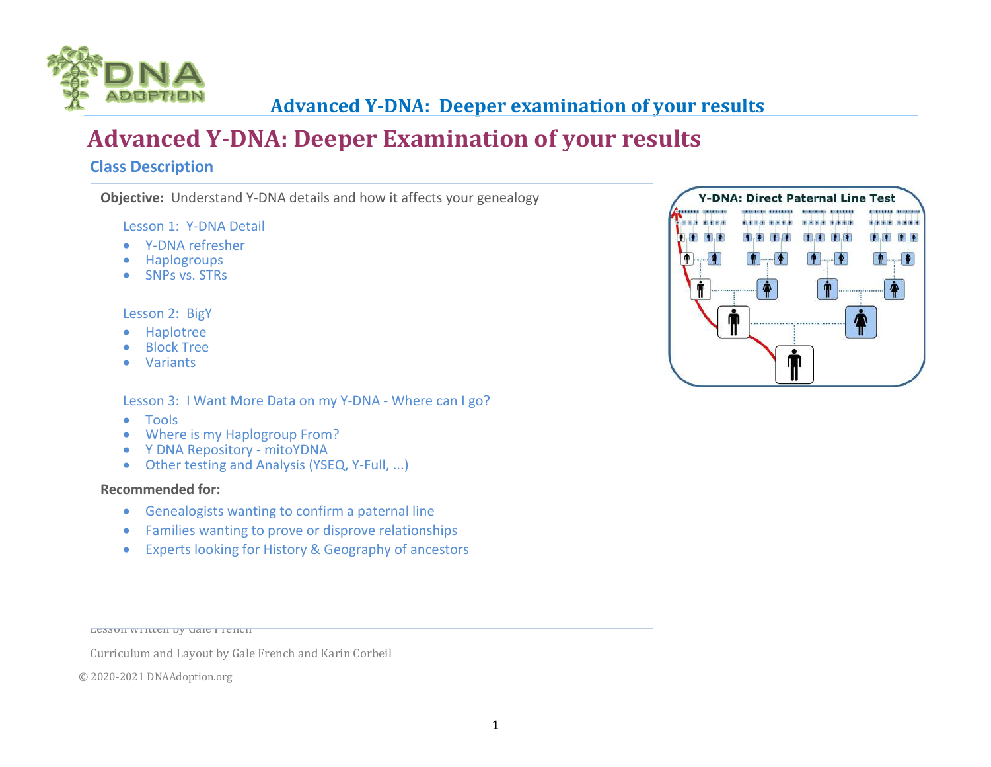

# **Advanced Y-DNA: Deeper Examination of your results**

#### **Class Description**

**Objective:** Understand Y-DNA details and how it affects your genealogy

Lesson 1: Y-DNA Detail

- Y-DNA refresher
- Haplogroups
- SNPs vs. STRs

#### Lesson 2: BigY

- Haplotree
- Block Tree
- Variants

#### Lesson 3: I Want More Data on my Y-DNA - Where can I go?

- Tools
- Where is my Haplogroup From?
- Y DNA Repository mitoYDNA
- Other testing and Analysis (YSEQ, Y-Full, ...)

#### **Recommended for:**

- Genealogists wanting to confirm a paternal line
- Families wanting to prove or disprove relationships
- Experts looking for History & Geography of ancestors

Lesson written by Gale French

Curriculum and Layout by Gale French and Karin Corbeil

© 2020-2021 DNAAdoption.org

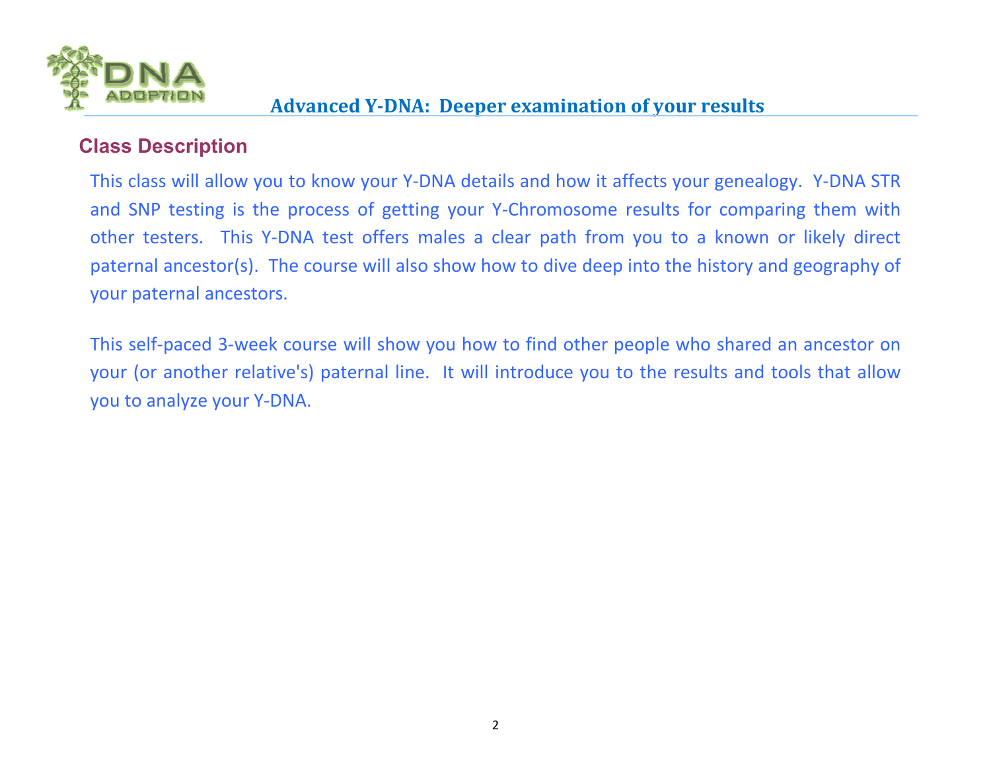

#### **Class Description**

This class will allow you to know your Y-DNA details and how it affects your genealogy. Y-DNA STR and SNP testing is the process of getting your Y-Chromosome results for comparing them with other testers. This Y-DNA test offers males a clear path from you to a known or likely direct paternal ancestor(s). The course will also show how to dive deep into the history and geography of your paternal ancestors.

This self-paced 3-week course will show you how to find other people who shared an ancestor on your (or another relative's) paternal line. It will introduce you to the results and tools that allowyou to analyze your Y-DNA.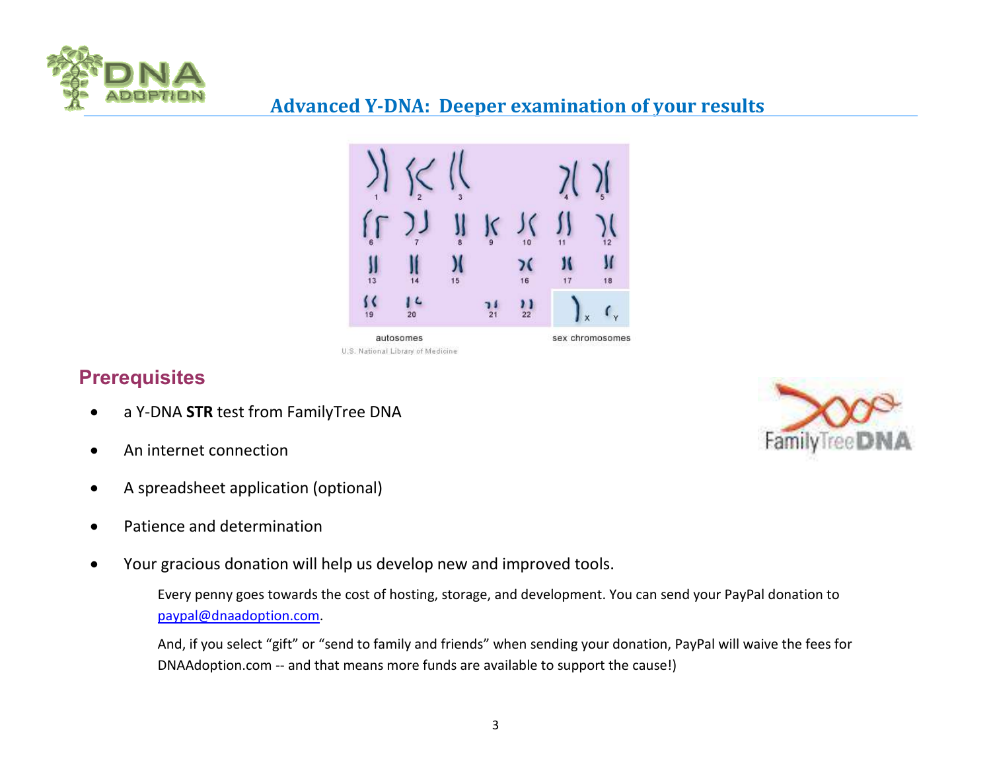



# **Prerequisites**

- a Y-DNA **STR** test from FamilyTree DNA
- An internet connection
- A spreadsheet application (optional)
- Patience and determination
- Your gracious donation will help us develop new and improved tools.

Every penny goes towards the cost of hosting, storage, and development. You can send your PayPal donation to paypal@dnaadoption.com.

And, if you select "gift" or "send to family and friends" when sending your donation, PayPal will waive the fees for DNAAdoption.com -- and that means more funds are available to support the cause!)

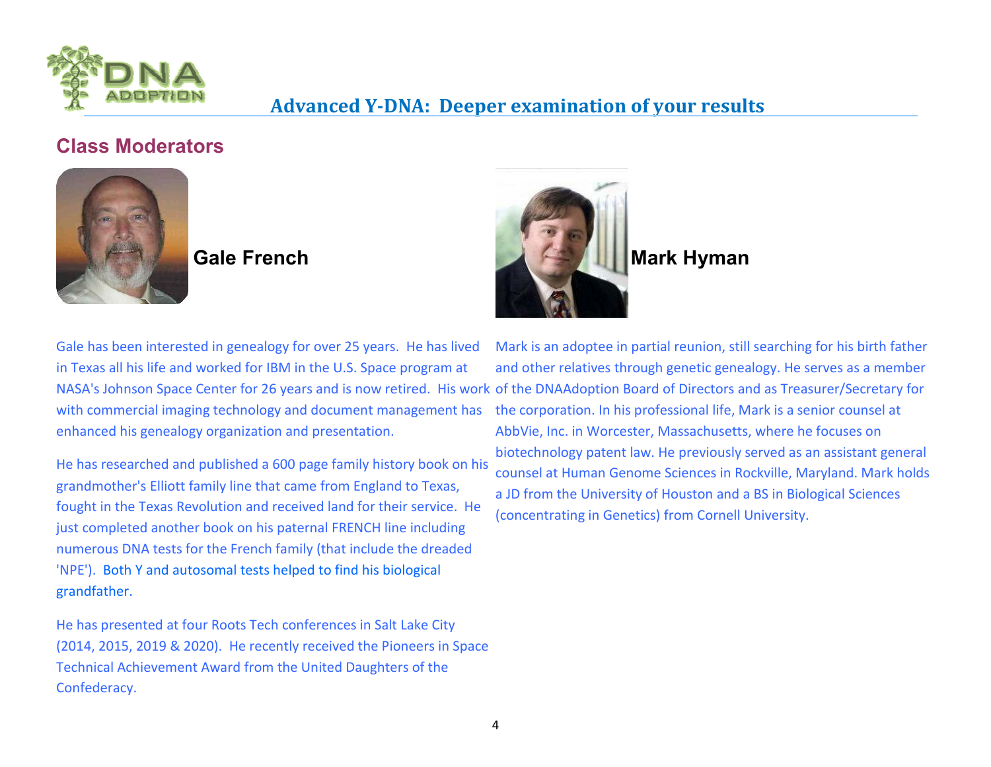

### **Class Moderators**





He has researched and published a 600 page family history book on his grandmother's Elliott family line that came from England to Texas, fought in the Texas Revolution and received land for their service. He just completed another book on his paternal FRENCH line including numerous DNA tests for the French family (that include the dreaded 'NPE'). Both Y and autosomal tests helped to find his biological grandfather.

He has presented at four Roots Tech conferences in Salt Lake City (2014, 2015, 2019 & 2020). He recently received the Pioneers in Space Technical Achievement Award from the United Daughters of the Confederacy.



NASA's Johnson Space Center for 26 years and is now retired. His work of the DNAAdoption Board of Directors and as Treasurer/Secretary for Mark is an adoptee in partial reunion, still searching for his birth father and other relatives through genetic genealogy. He serves as a member the corporation. In his professional life, Mark is a senior counsel at AbbVie, Inc. in Worcester, Massachusetts, where he focuses on biotechnology patent law. He previously served as an assistant general counsel at Human Genome Sciences in Rockville, Maryland. Mark holds a JD from the University of Houston and a BS in Biological Sciences (concentrating in Genetics) from Cornell University.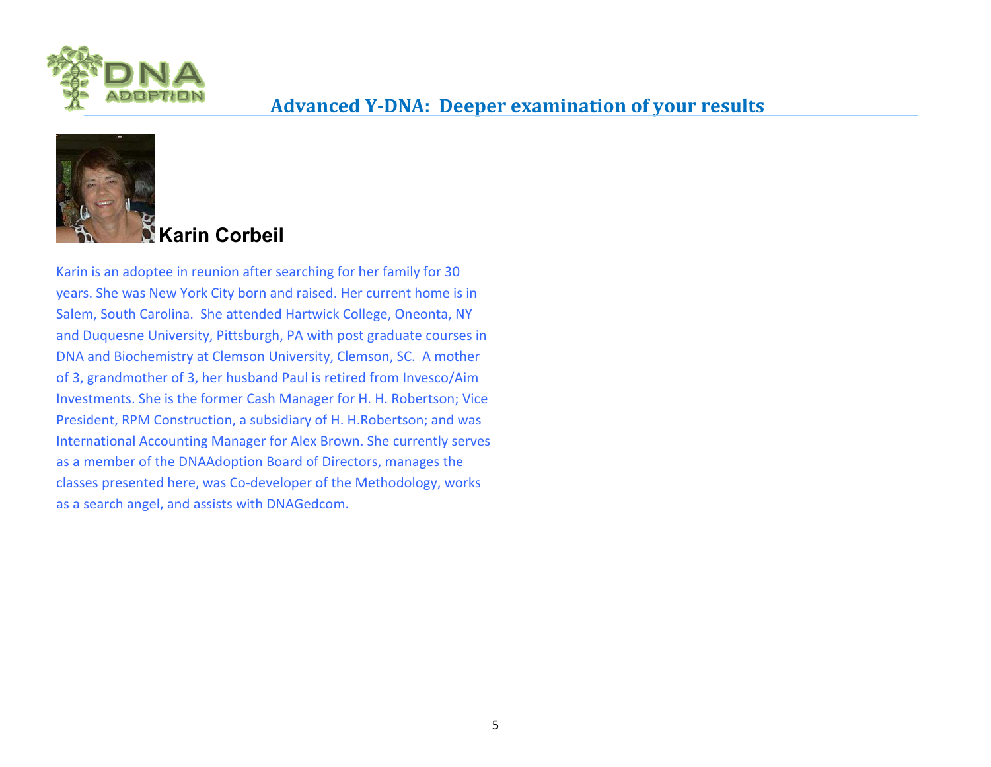



# **Karin Corbeil**

Karin is an adoptee in reunion after searching for her family for 30 years. She was New York City born and raised. Her current home is in Salem, South Carolina. She attended Hartwick College, Oneonta, NY and Duquesne University, Pittsburgh, PA with post graduate courses in DNA and Biochemistry at Clemson University, Clemson, SC. A mother of 3, grandmother of 3, her husband Paul is retired from Invesco/Aim Investments. She is the former Cash Manager for H. H. Robertson; Vice President, RPM Construction, a subsidiary of H. H.Robertson; and was International Accounting Manager for Alex Brown. She currently serves as a member of the DNAAdoption Board of Directors, manages the classes presented here, was Co-developer of the Methodology, works as a search angel, and assists with DNAGedcom.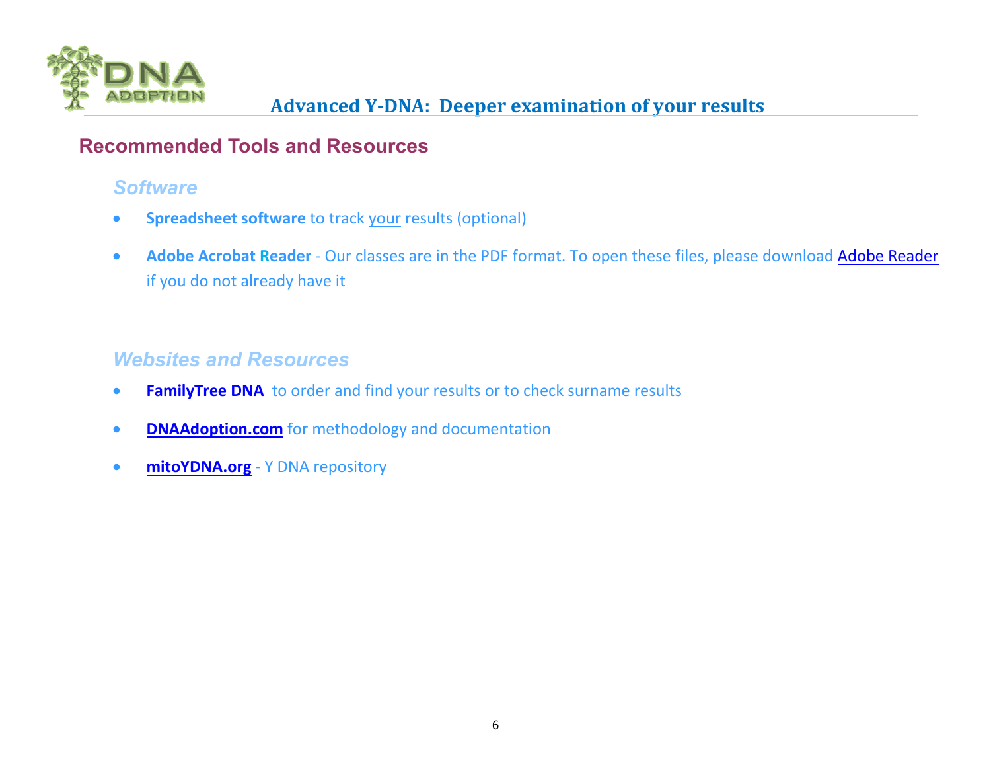

### **Recommended Tools and Resources**

# *Software*

- **Spreadsheet software** to track your results (optional)
- **Adobe Acrobat Reader** Our classes are in the PDF format. To open these files, please download Adobe Readerif you do not already have it

# *Websites and Resources*

- **FamilyTree DNA** to order and find your results or to check surname results
- **DNAAdoption.com** for methodology and documentation
- **mitoYDNA.org** Y DNA repository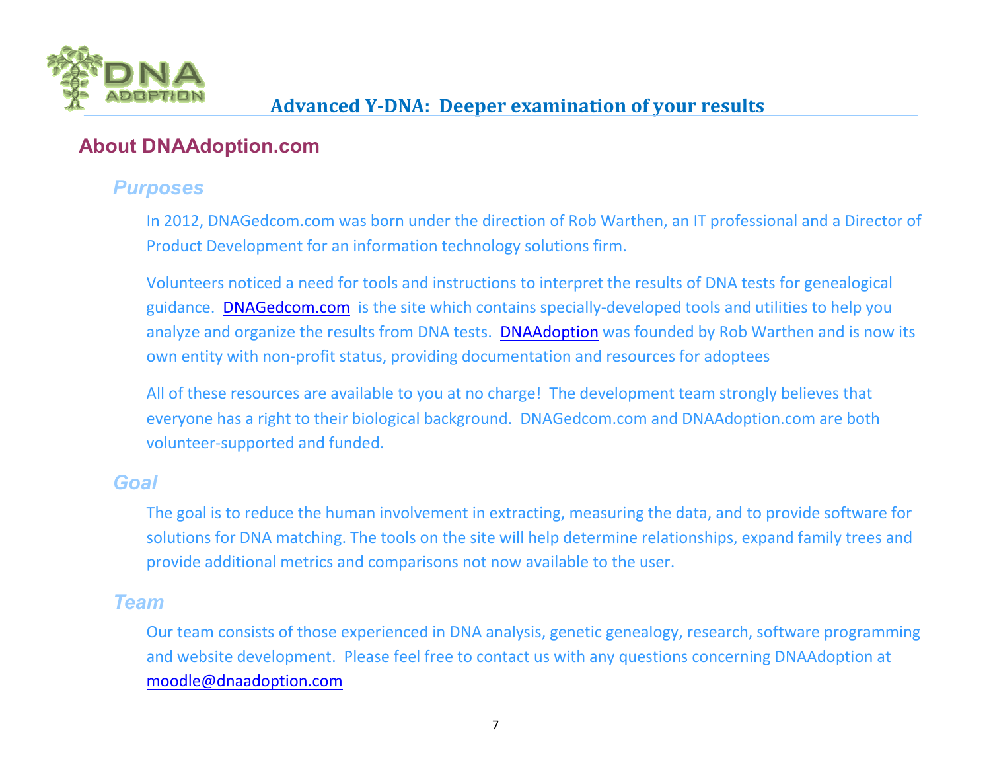

#### **About DNAAdoption.com**

#### *Purposes*

In 2012, DNAGedcom.com was born under the direction of Rob Warthen, an IT professional and a Director of Product Development for an information technology solutions firm.

Volunteers noticed a need for tools and instructions to interpret the results of DNA tests for genealogical guidance. DNAGedcom.com is the site which contains specially-developed tools and utilities to help you analyze and organize the results from DNA tests. DNAAdoption was founded by Rob Warthen and is now its own entity with non-profit status, providing documentation and resources for adoptees

All of these resources are available to you at no charge! The development team strongly believes thateveryone has a right to their biological background. DNAGedcom.com and DNAAdoption.com are both volunteer-supported and funded.

#### *Goal*

The goal is to reduce the human involvement in extracting, measuring the data, and to provide software for solutions for DNA matching. The tools on the site will help determine relationships, expand family trees and provide additional metrics and comparisons not now available to the user.

#### *Team*

Our team consists of those experienced in DNA analysis, genetic genealogy, research, software programming and website development. Please feel free to contact us with any questions concerning DNAAdoption at moodle@dnaadoption.com